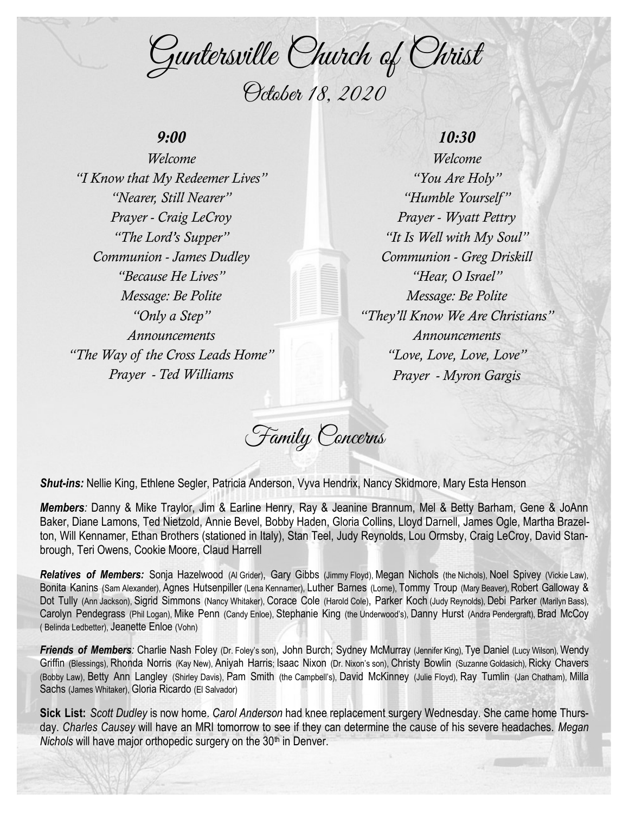Guntersville Church of Christ October 18, 2020

## *9:00*

*Welcome "I Know that My Redeemer Lives" "Nearer, Still Nearer" Prayer - Craig LeCroy "The Lord's Supper" Communion - James Dudley "Because He Lives" Message: Be Polite "Only a Step" Announcements "The Way of the Cross Leads Home" Prayer - Ted Williams*

# *10:30*

*Welcome "You Are Holy" "Humble Yourself " Prayer - Wyatt Pettry "It Is Well with My Soul" Communion - Greg Driskill "Hear, O Israel" Message: Be Polite "They'll Know We Are Christians" Announcements "Love, Love, Love, Love" Prayer - Myron Gargis*

Family Concerns

*Shut-ins:* Nellie King, Ethlene Segler, Patricia Anderson, Vyva Hendrix, Nancy Skidmore, Mary Esta Henson

*Members:* Danny & Mike Traylor, Jim & Earline Henry, Ray & Jeanine Brannum, Mel & Betty Barham, Gene & JoAnn Baker, Diane Lamons, Ted Nietzold, Annie Bevel, Bobby Haden, Gloria Collins, Lloyd Darnell, James Ogle, Martha Brazelton, Will Kennamer, Ethan Brothers (stationed in Italy), Stan Teel, Judy Reynolds, Lou Ormsby, Craig LeCroy, David Stanbrough, Teri Owens, Cookie Moore, Claud Harrell

*Relatives of Members:* Sonja Hazelwood (Al Grider), Gary Gibbs (Jimmy Floyd), Megan Nichols (the Nichols), Noel Spivey (Vickie Law), Bonita Kanins (Sam Alexander), Agnes Hutsenpiller (Lena Kennamer), Luther Barnes (Lorne), Tommy Troup (Mary Beaver), Robert Galloway & Dot Tully (Ann Jackson), Sigrid Simmons (Nancy Whitaker), Corace Cole (Harold Cole), Parker Koch (Judy Reynolds), Debi Parker (Marilyn Bass), Carolyn Pendegrass (Phil Logan), Mike Penn (Candy Enloe), Stephanie King (the Underwood's), Danny Hurst (Andra Pendergraft), Brad McCoy ( Belinda Ledbetter), Jeanette Enloe (Vohn)

*Friends of Members:* Charlie Nash Foley (Dr. Foley's son), John Burch; Sydney McMurray (Jennifer King), Tye Daniel (Lucy Wilson), Wendy Griffin (Blessings), Rhonda Norris (Kay New), Aniyah Harris; Isaac Nixon (Dr. Nixon's son), Christy Bowlin (Suzanne Goldasich), Ricky Chavers (Bobby Law), Betty Ann Langley (Shirley Davis), Pam Smith (the Campbell's), David McKinney (Julie Floyd), Ray Tumlin (Jan Chatham), Milla Sachs (James Whitaker), Gloria Ricardo (El Salvador)

**Sick List:** *Scott Dudley* is now home. *Carol Anderson* had knee replacement surgery Wednesday. She came home Thursday. *Charles Causey* will have an MRI tomorrow to see if they can determine the cause of his severe headaches. *Megan Nichols* will have major orthopedic surgery on the 30<sup>th</sup> in Denver.